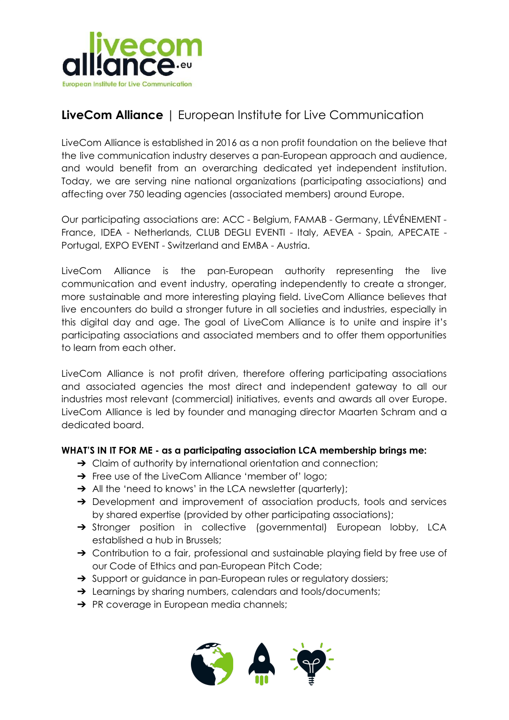

# **LiveCom Alliance** | European Institute for Live Communication

LiveCom Alliance is established in 2016 as a non profit foundation on the believe that the live communication industry deserves a pan-European approach and audience, and would benefit from an overarching dedicated yet independent institution. Today, we are serving nine national organizations (participating associations) and affecting over 750 leading agencies (associated members) around Europe.

Our participating associations are: ACC - Belgium, FAMAB - Germany, LÉVÉNEMENT - France, IDEA - Netherlands, CLUB DEGLI EVENTI - Italy, AEVEA - Spain, APECATE - Portugal, EXPO EVENT - Switzerland and EMBA - Austria.

LiveCom Alliance is the pan-European authority representing the live communication and event industry, operating independently to create a stronger, more sustainable and more interesting playing field. LiveCom Alliance believes that live encounters do build a stronger future in all societies and industries, especially in this digital day and age. The goal of LiveCom Alliance is to unite and inspire it's participating associations and associated members and to offer them opportunities to learn from each other.

LiveCom Alliance is not profit driven, therefore offering participating associations and associated agencies the most direct and independent gateway to all our industries most relevant (commercial) initiatives, events and awards all over Europe. LiveCom Alliance is led by founder and managing director Maarten Schram and a dedicated board.

### **WHAT'S IN IT FOR ME - as a participating association LCA membership brings me:**

- → Claim of authority by international orientation and connection;
- → Free use of the LiveCom Alliance 'member of' logo;
- → All the 'need to knows' in the LCA newsletter (quarterly);
- ➔ Development and improvement of association products, tools and services by shared expertise (provided by other participating associations);
- → Stronger position in collective (governmental) European lobby, LCA established a hub in Brussels;
- → Contribution to a fair, professional and sustainable playing field by free use of our Code of Ethics and pan-European Pitch Code;
- → Support or guidance in pan-European rules or regulatory dossiers;
- → Learnings by sharing numbers, calendars and tools/documents;
- → PR coverage in European media channels;